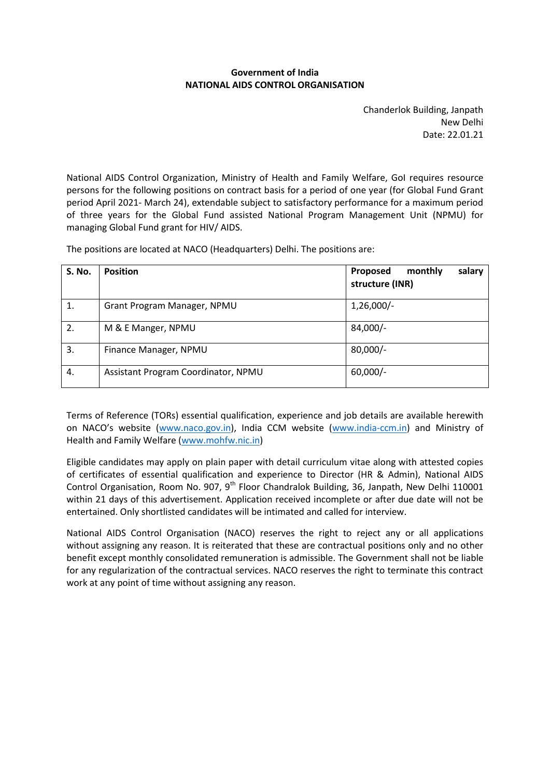#### **Government of India NATIONAL AIDS CONTROL ORGANISATION**

Chanderlok Building, Janpath New Delhi Date: 22.01.21

National AIDS Control Organization, Ministry of Health and Family Welfare, GoI requires resource persons for the following positions on contract basis for a period of one year (for Global Fund Grant period April 2021- March 24), extendable subject to satisfactory performance for a maximum period of three years for the Global Fund assisted National Program Management Unit (NPMU) for managing Global Fund grant for HIV/ AIDS.

| <b>S. No.</b> | <b>Position</b>             | monthly<br>Proposed<br>salary<br>structure (INR) |
|---------------|-----------------------------|--------------------------------------------------|
| 1.            | Grant Program Manager, NPMU | $1,26,000/-$                                     |
| 2.            | M & E Manger, NPMU          | 84,000/-                                         |

The positions are located at NACO (Headquarters) Delhi. The positions are:

3. Finance Manager, NPMU 80,000/-

4. Assistant Program Coordinator, NPMU 60,000/-

Terms of Reference (TORs) essential qualification, experience and job details are available herewith on NACO's website ([www.naco.gov.in\)](http://www.naco.gov.in/), India CCM website [\(www.india-ccm.in\)](http://www.india-ccm.in/) and Ministry of Health and Family Welfare [\(www.mohfw.nic.in\)](http://www.mohfw.nic.in/)

Eligible candidates may apply on plain paper with detail curriculum vitae along with attested copies of certificates of essential qualification and experience to Director (HR & Admin), National AIDS Control Organisation, Room No. 907, 9<sup>th</sup> Floor Chandralok Building, 36, Janpath, New Delhi 110001 within 21 days of this advertisement. Application received incomplete or after due date will not be entertained. Only shortlisted candidates will be intimated and called for interview.

National AIDS Control Organisation (NACO) reserves the right to reject any or all applications without assigning any reason. It is reiterated that these are contractual positions only and no other benefit except monthly consolidated remuneration is admissible. The Government shall not be liable for any regularization of the contractual services. NACO reserves the right to terminate this contract work at any point of time without assigning any reason.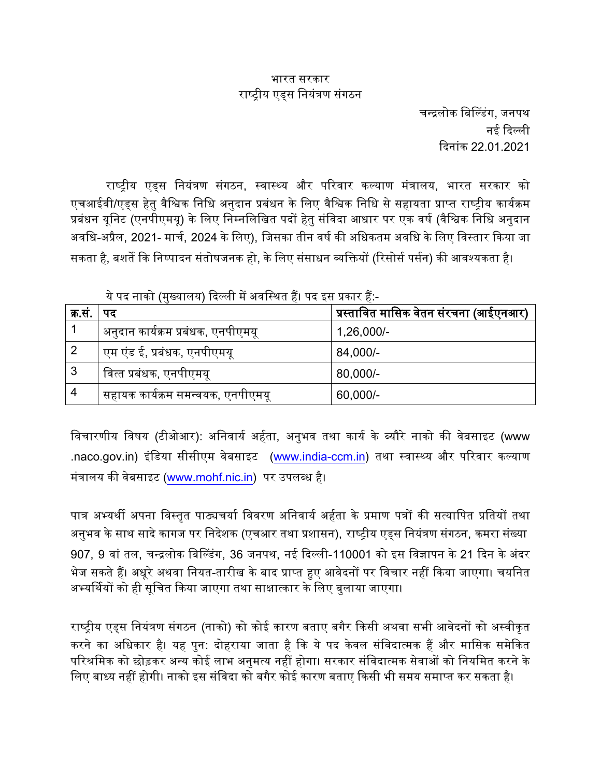#### भारत सरकार राष्ट्रीय एडस नियंत्रण संगठन

चन्द्रलोक बिल्डिंग, जनपथ नई दिल्ली दिनांक 22.01.2021

राष्ट्रीय एड्स नियंत्रण संगठन, स्वास्थ्य और परिवार कल्याण मंत्रालय, भारत सरकार को एचआईवी/एडस हेतु वैश्विक निधि अनुदान प्रबंधन के लिए वैश्विक निधि से सहायता प्राप्त राष्ट्रीय कार्यक्रम प्रबंधन यूनिट (एनपीएमयू) के लिए निम्नलिखित पदों हेतु संविदा आधार पर एक वर्ष (वैश्विक निधि अनुदान अवधि-अप्रैल, 2021- मार्च, 2024 के लिए), जिसका तीन वर्ष की अधिकतम अवधि के लिए विस्तार किया जा सकता है, बशर्ते कि निष्पादन संतोषजनक हो, के लिए संसाधन व्यक्तियों (रिसोर्स पर्सन) की आवश्यकता है।

|              | $\mathcal{L}$ , and the state of the state of the state of the state of the state of $\mathcal{L}$ |                                       |  |  |
|--------------|----------------------------------------------------------------------------------------------------|---------------------------------------|--|--|
| क्र.सं.   पद |                                                                                                    | प्रस्तावित मासिक वेतन संरचना (आईएनआर) |  |  |
|              | अनुदान कार्यक्रम प्रबंधक, एनपीएमयू                                                                 | $1,26,000/-$                          |  |  |
|              | एम एंड ई, प्रबंधक, एनपीएमयू                                                                        | 84,000/-                              |  |  |
| 3            | वित्त प्रबंधक, एनपीएमयू                                                                            | 80,000/-                              |  |  |
| 4            | सहायक कार्यक्रम समन्वयक, एनपीएमयू                                                                  | 60,000/-                              |  |  |

ये पद नाको (मख्यालय) दिल्ली में अवस्थित दैं। पद दस पकार दैं:-

विचारणीय विषय (टीओआर): अनिवार्य अर्हता, अनुभव तथा कार्य के ब्यौरे नाको की वेबसाइट (www .naco.gov.in) इंडिया सीसीएम वेबसाइट [\(www.india-ccm.in\)](http://www.india-ccm.in/) तथा स्वास्थ्य और परिवार कल्याण मंत्रालय की वेबसाइट ([www.mohf.nic.in](http://www.mohf.nic.in/)) पर उपलब्ध है।

पात्र अभ्यर्थी अपना विस्तृत पाठ्यचर्या विवरण अनिवार्य अर्हता के प्रमाण पत्रों की सत्यापित प्रतियों तथा अनुभव के साथ सादे कागज पर निदेशक (एचआर तथा प्रशासन), राष्ट्रीय एड्स नियंत्रण संगठन, कमरा संख्या 907, 9 वां तल, चन्द्रलोक बिल्डिंग, 36 जनपथ, नई दिल्ली-110001 को इस विज्ञापन के 21 दिन के अंदर भेज सकते हैं। अधूरे अथवा नियत-तारीख के बाद प्राप्त हुए आवेदनों पर विचार नहीं किया जाएगा। चयनित अभ्यर्थियों को ही सूचित किया जाएगा तथा साक्षात्कार के लिए बलाया जाएगा।

राष्ट्रीय एड्स नियंत्रण संगठन (नाको) को कोई कारण बताए बगैर किसी अथवा सभी आवेदनों को अस्वीकृत करने का अधिकार है। यह पुन: दोहराया जाता है कि ये पद केवल संविदात्मक हैं और मासिक समेकित परिश्रमिक को छोड़कर अन्य कोई लाभ अनुमत्य नहीं होगा। सरकार संविदात्मक सेवाओं को नियमित करने के लिए बाध्य नहीं होगी। नाको इस संविदा को बगैर कोई कारण बताए किसी भी समय समाप्त कर सकता है।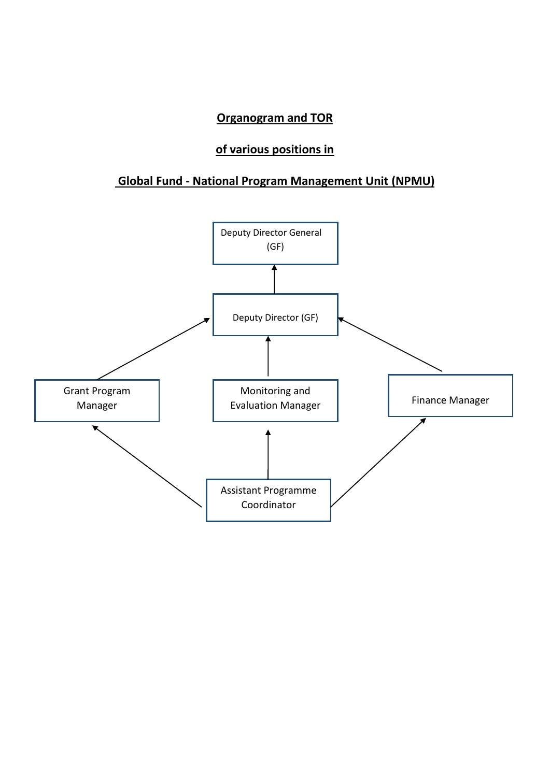### **Organogram and TOR**

# **of various positions in**

## **Global Fund - National Program Management Unit (NPMU)**

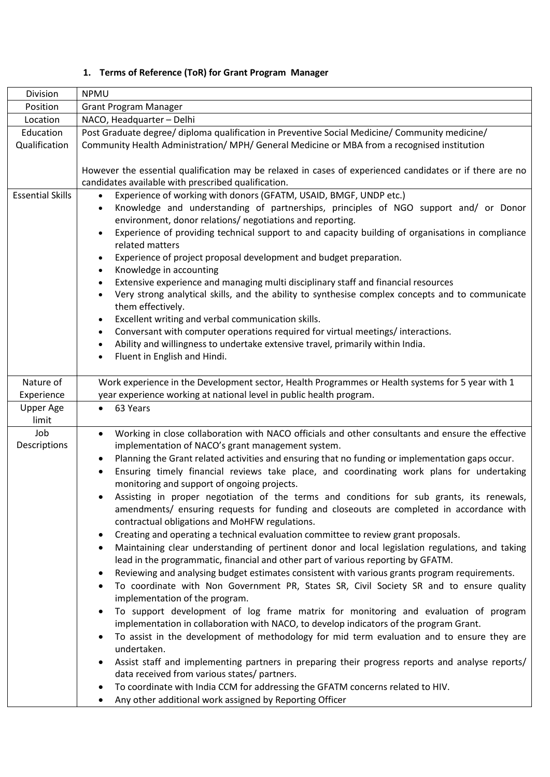#### **1. Terms of Reference (ToR) for Grant Program Manager**

| Division                  | <b>NPMU</b>                                                                                                                                                                                                                                                                                                                                                                                                                                                                                                                                                                                                                                                                                                                                                                                                                                                                                                                                                                                                                                                                                                                                                                                                                                                                                                                                                                                                                                                                                                                                                                                                                                                                                                                                                                                                                                         |  |  |
|---------------------------|-----------------------------------------------------------------------------------------------------------------------------------------------------------------------------------------------------------------------------------------------------------------------------------------------------------------------------------------------------------------------------------------------------------------------------------------------------------------------------------------------------------------------------------------------------------------------------------------------------------------------------------------------------------------------------------------------------------------------------------------------------------------------------------------------------------------------------------------------------------------------------------------------------------------------------------------------------------------------------------------------------------------------------------------------------------------------------------------------------------------------------------------------------------------------------------------------------------------------------------------------------------------------------------------------------------------------------------------------------------------------------------------------------------------------------------------------------------------------------------------------------------------------------------------------------------------------------------------------------------------------------------------------------------------------------------------------------------------------------------------------------------------------------------------------------------------------------------------------------|--|--|
| Position                  | <b>Grant Program Manager</b>                                                                                                                                                                                                                                                                                                                                                                                                                                                                                                                                                                                                                                                                                                                                                                                                                                                                                                                                                                                                                                                                                                                                                                                                                                                                                                                                                                                                                                                                                                                                                                                                                                                                                                                                                                                                                        |  |  |
| Location                  | NACO, Headquarter - Delhi                                                                                                                                                                                                                                                                                                                                                                                                                                                                                                                                                                                                                                                                                                                                                                                                                                                                                                                                                                                                                                                                                                                                                                                                                                                                                                                                                                                                                                                                                                                                                                                                                                                                                                                                                                                                                           |  |  |
| Education                 | Post Graduate degree/ diploma qualification in Preventive Social Medicine/ Community medicine/                                                                                                                                                                                                                                                                                                                                                                                                                                                                                                                                                                                                                                                                                                                                                                                                                                                                                                                                                                                                                                                                                                                                                                                                                                                                                                                                                                                                                                                                                                                                                                                                                                                                                                                                                      |  |  |
| Qualification             | Community Health Administration/ MPH/ General Medicine or MBA from a recognised institution                                                                                                                                                                                                                                                                                                                                                                                                                                                                                                                                                                                                                                                                                                                                                                                                                                                                                                                                                                                                                                                                                                                                                                                                                                                                                                                                                                                                                                                                                                                                                                                                                                                                                                                                                         |  |  |
|                           | However the essential qualification may be relaxed in cases of experienced candidates or if there are no<br>candidates available with prescribed qualification.                                                                                                                                                                                                                                                                                                                                                                                                                                                                                                                                                                                                                                                                                                                                                                                                                                                                                                                                                                                                                                                                                                                                                                                                                                                                                                                                                                                                                                                                                                                                                                                                                                                                                     |  |  |
| <b>Essential Skills</b>   | Experience of working with donors (GFATM, USAID, BMGF, UNDP etc.)<br>$\bullet$<br>Knowledge and understanding of partnerships, principles of NGO support and/ or Donor<br>$\bullet$<br>environment, donor relations/ negotiations and reporting.<br>Experience of providing technical support to and capacity building of organisations in compliance<br>$\bullet$<br>related matters<br>Experience of project proposal development and budget preparation.<br>$\bullet$<br>Knowledge in accounting<br>$\bullet$<br>Extensive experience and managing multi disciplinary staff and financial resources<br>$\bullet$<br>Very strong analytical skills, and the ability to synthesise complex concepts and to communicate<br>$\bullet$<br>them effectively.<br>Excellent writing and verbal communication skills.<br>$\bullet$<br>Conversant with computer operations required for virtual meetings/interactions.<br>$\bullet$<br>Ability and willingness to undertake extensive travel, primarily within India.<br>$\bullet$<br>Fluent in English and Hindi.<br>$\bullet$                                                                                                                                                                                                                                                                                                                                                                                                                                                                                                                                                                                                                                                                                                                                                                            |  |  |
| Nature of<br>Experience   | Work experience in the Development sector, Health Programmes or Health systems for 5 year with 1<br>year experience working at national level in public health program.                                                                                                                                                                                                                                                                                                                                                                                                                                                                                                                                                                                                                                                                                                                                                                                                                                                                                                                                                                                                                                                                                                                                                                                                                                                                                                                                                                                                                                                                                                                                                                                                                                                                             |  |  |
| <b>Upper Age</b><br>limit | 63 Years                                                                                                                                                                                                                                                                                                                                                                                                                                                                                                                                                                                                                                                                                                                                                                                                                                                                                                                                                                                                                                                                                                                                                                                                                                                                                                                                                                                                                                                                                                                                                                                                                                                                                                                                                                                                                                            |  |  |
| Job<br>Descriptions       | Working in close collaboration with NACO officials and other consultants and ensure the effective<br>$\bullet$<br>implementation of NACO's grant management system.<br>Planning the Grant related activities and ensuring that no funding or implementation gaps occur.<br>$\bullet$<br>Ensuring timely financial reviews take place, and coordinating work plans for undertaking<br>$\bullet$<br>monitoring and support of ongoing projects.<br>Assisting in proper negotiation of the terms and conditions for sub grants, its renewals,<br>amendments/ ensuring requests for funding and closeouts are completed in accordance with<br>contractual obligations and MoHFW regulations.<br>Creating and operating a technical evaluation committee to review grant proposals.<br>٠<br>Maintaining clear understanding of pertinent donor and local legislation regulations, and taking<br>٠<br>lead in the programmatic, financial and other part of various reporting by GFATM.<br>Reviewing and analysing budget estimates consistent with various grants program requirements.<br>٠<br>To coordinate with Non Government PR, States SR, Civil Society SR and to ensure quality<br>٠<br>implementation of the program.<br>To support development of log frame matrix for monitoring and evaluation of program<br>٠<br>implementation in collaboration with NACO, to develop indicators of the program Grant.<br>To assist in the development of methodology for mid term evaluation and to ensure they are<br>$\bullet$<br>undertaken.<br>Assist staff and implementing partners in preparing their progress reports and analyse reports/<br>٠<br>data received from various states/ partners.<br>To coordinate with India CCM for addressing the GFATM concerns related to HIV.<br>٠<br>Any other additional work assigned by Reporting Officer |  |  |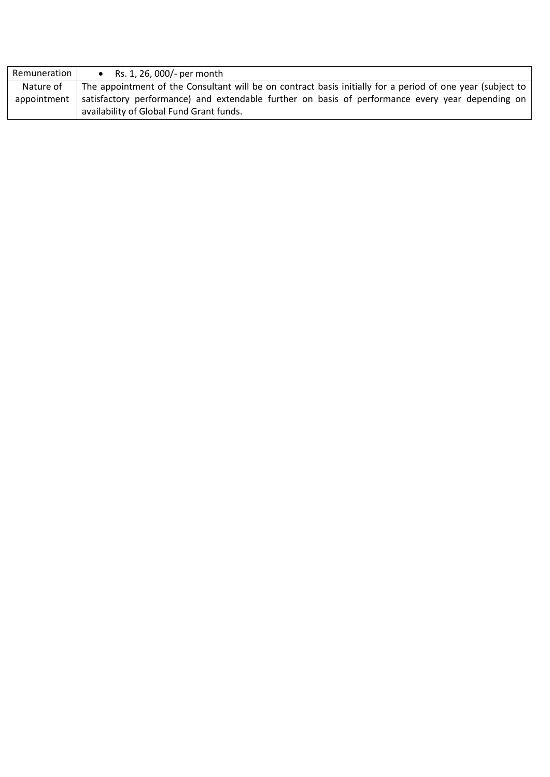| Remuneration I | • Rs. 1, 26, 000/- per month                                                                                                                 |  |
|----------------|----------------------------------------------------------------------------------------------------------------------------------------------|--|
| Nature of      | The appointment of the Consultant will be on contract basis initially for a period of one year (subject to                                   |  |
| appointment    | satisfactory performance) and extendable further on basis of performance every year depending on<br>availability of Global Fund Grant funds. |  |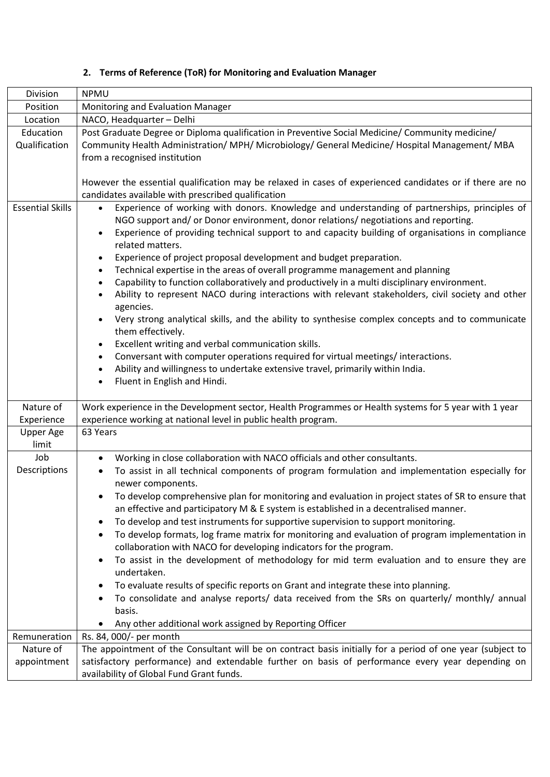|  |  |  |  | Terms of Reference (ToR) for Monitoring and Evaluation Manager |
|--|--|--|--|----------------------------------------------------------------|
|--|--|--|--|----------------------------------------------------------------|

| Division                   | <b>NPMU</b>                                                                                                                                                                                                                                                                                                                                                                                                                                                                                                                                                                                                                                                                                                                                                                                                                                                                                                                                                                                                                                                                                                                                                                                                               |  |  |
|----------------------------|---------------------------------------------------------------------------------------------------------------------------------------------------------------------------------------------------------------------------------------------------------------------------------------------------------------------------------------------------------------------------------------------------------------------------------------------------------------------------------------------------------------------------------------------------------------------------------------------------------------------------------------------------------------------------------------------------------------------------------------------------------------------------------------------------------------------------------------------------------------------------------------------------------------------------------------------------------------------------------------------------------------------------------------------------------------------------------------------------------------------------------------------------------------------------------------------------------------------------|--|--|
| Position                   | Monitoring and Evaluation Manager                                                                                                                                                                                                                                                                                                                                                                                                                                                                                                                                                                                                                                                                                                                                                                                                                                                                                                                                                                                                                                                                                                                                                                                         |  |  |
| Location                   | NACO, Headquarter - Delhi                                                                                                                                                                                                                                                                                                                                                                                                                                                                                                                                                                                                                                                                                                                                                                                                                                                                                                                                                                                                                                                                                                                                                                                                 |  |  |
| Education<br>Qualification | Post Graduate Degree or Diploma qualification in Preventive Social Medicine/ Community medicine/<br>Community Health Administration/ MPH/ Microbiology/ General Medicine/ Hospital Management/ MBA<br>from a recognised institution                                                                                                                                                                                                                                                                                                                                                                                                                                                                                                                                                                                                                                                                                                                                                                                                                                                                                                                                                                                       |  |  |
|                            | However the essential qualification may be relaxed in cases of experienced candidates or if there are no<br>candidates available with prescribed qualification                                                                                                                                                                                                                                                                                                                                                                                                                                                                                                                                                                                                                                                                                                                                                                                                                                                                                                                                                                                                                                                            |  |  |
| <b>Essential Skills</b>    | Experience of working with donors. Knowledge and understanding of partnerships, principles of<br>$\bullet$<br>NGO support and/ or Donor environment, donor relations/ negotiations and reporting.<br>Experience of providing technical support to and capacity building of organisations in compliance<br>$\bullet$<br>related matters.<br>Experience of project proposal development and budget preparation.<br>$\bullet$<br>Technical expertise in the areas of overall programme management and planning<br>$\bullet$<br>Capability to function collaboratively and productively in a multi disciplinary environment.<br>$\bullet$<br>Ability to represent NACO during interactions with relevant stakeholders, civil society and other<br>$\bullet$<br>agencies.<br>Very strong analytical skills, and the ability to synthesise complex concepts and to communicate<br>$\bullet$<br>them effectively.<br>Excellent writing and verbal communication skills.<br>$\bullet$<br>Conversant with computer operations required for virtual meetings/interactions.<br>$\bullet$<br>Ability and willingness to undertake extensive travel, primarily within India.<br>$\bullet$<br>Fluent in English and Hindi.<br>$\bullet$ |  |  |
| Nature of<br>Experience    | Work experience in the Development sector, Health Programmes or Health systems for 5 year with 1 year<br>experience working at national level in public health program.                                                                                                                                                                                                                                                                                                                                                                                                                                                                                                                                                                                                                                                                                                                                                                                                                                                                                                                                                                                                                                                   |  |  |
| Upper Age<br>limit         | 63 Years                                                                                                                                                                                                                                                                                                                                                                                                                                                                                                                                                                                                                                                                                                                                                                                                                                                                                                                                                                                                                                                                                                                                                                                                                  |  |  |
| Job<br>Descriptions        | Working in close collaboration with NACO officials and other consultants.<br>$\bullet$<br>To assist in all technical components of program formulation and implementation especially for<br>$\bullet$<br>newer components.<br>To develop comprehensive plan for monitoring and evaluation in project states of SR to ensure that<br>an effective and participatory M & E system is established in a decentralised manner.<br>To develop and test instruments for supportive supervision to support monitoring.<br>٠<br>To develop formats, log frame matrix for monitoring and evaluation of program implementation in<br>$\bullet$<br>collaboration with NACO for developing indicators for the program.<br>To assist in the development of methodology for mid term evaluation and to ensure they are<br>٠<br>undertaken.<br>To evaluate results of specific reports on Grant and integrate these into planning.<br>٠<br>To consolidate and analyse reports/ data received from the SRs on quarterly/ monthly/ annual<br>basis.<br>Any other additional work assigned by Reporting Officer                                                                                                                              |  |  |
| Remuneration               | Rs. 84, 000/- per month                                                                                                                                                                                                                                                                                                                                                                                                                                                                                                                                                                                                                                                                                                                                                                                                                                                                                                                                                                                                                                                                                                                                                                                                   |  |  |
| Nature of                  | The appointment of the Consultant will be on contract basis initially for a period of one year (subject to                                                                                                                                                                                                                                                                                                                                                                                                                                                                                                                                                                                                                                                                                                                                                                                                                                                                                                                                                                                                                                                                                                                |  |  |
| appointment                | satisfactory performance) and extendable further on basis of performance every year depending on<br>availability of Global Fund Grant funds.                                                                                                                                                                                                                                                                                                                                                                                                                                                                                                                                                                                                                                                                                                                                                                                                                                                                                                                                                                                                                                                                              |  |  |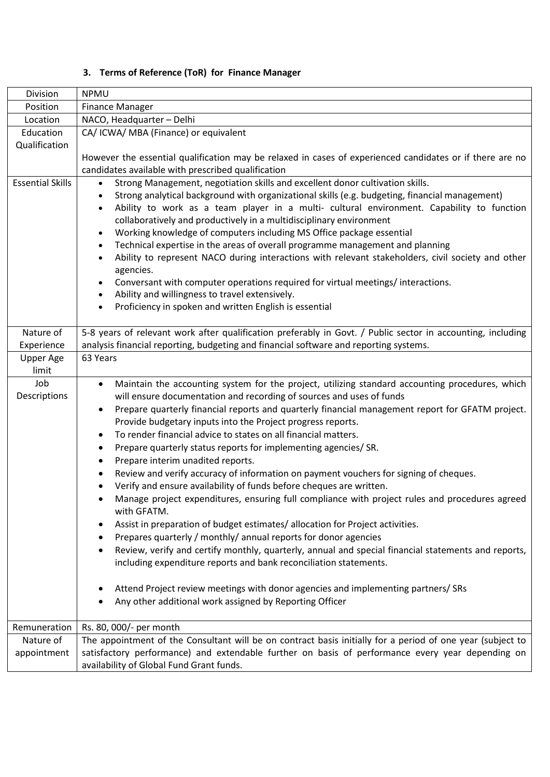## **3. Terms of Reference (ToR) for Finance Manager**

| Division                | <b>NPMU</b>                                                                                                                                                                                                                                                                                                                                                                                                                                                                                                                                                                                                                                                                                                                                                                                                                                                                                                                                                                                                                                                                                                                                                                                                                                                                                                                                         |  |  |
|-------------------------|-----------------------------------------------------------------------------------------------------------------------------------------------------------------------------------------------------------------------------------------------------------------------------------------------------------------------------------------------------------------------------------------------------------------------------------------------------------------------------------------------------------------------------------------------------------------------------------------------------------------------------------------------------------------------------------------------------------------------------------------------------------------------------------------------------------------------------------------------------------------------------------------------------------------------------------------------------------------------------------------------------------------------------------------------------------------------------------------------------------------------------------------------------------------------------------------------------------------------------------------------------------------------------------------------------------------------------------------------------|--|--|
| Position                | <b>Finance Manager</b>                                                                                                                                                                                                                                                                                                                                                                                                                                                                                                                                                                                                                                                                                                                                                                                                                                                                                                                                                                                                                                                                                                                                                                                                                                                                                                                              |  |  |
| Location                | NACO, Headquarter - Delhi                                                                                                                                                                                                                                                                                                                                                                                                                                                                                                                                                                                                                                                                                                                                                                                                                                                                                                                                                                                                                                                                                                                                                                                                                                                                                                                           |  |  |
| Education               | CA/ ICWA/ MBA (Finance) or equivalent                                                                                                                                                                                                                                                                                                                                                                                                                                                                                                                                                                                                                                                                                                                                                                                                                                                                                                                                                                                                                                                                                                                                                                                                                                                                                                               |  |  |
| Qualification           |                                                                                                                                                                                                                                                                                                                                                                                                                                                                                                                                                                                                                                                                                                                                                                                                                                                                                                                                                                                                                                                                                                                                                                                                                                                                                                                                                     |  |  |
|                         | However the essential qualification may be relaxed in cases of experienced candidates or if there are no                                                                                                                                                                                                                                                                                                                                                                                                                                                                                                                                                                                                                                                                                                                                                                                                                                                                                                                                                                                                                                                                                                                                                                                                                                            |  |  |
|                         | candidates available with prescribed qualification                                                                                                                                                                                                                                                                                                                                                                                                                                                                                                                                                                                                                                                                                                                                                                                                                                                                                                                                                                                                                                                                                                                                                                                                                                                                                                  |  |  |
| <b>Essential Skills</b> | Strong Management, negotiation skills and excellent donor cultivation skills.<br>$\bullet$<br>Strong analytical background with organizational skills (e.g. budgeting, financial management)<br>$\bullet$<br>Ability to work as a team player in a multi- cultural environment. Capability to function<br>$\bullet$<br>collaboratively and productively in a multidisciplinary environment<br>Working knowledge of computers including MS Office package essential<br>$\bullet$<br>Technical expertise in the areas of overall programme management and planning<br>$\bullet$<br>Ability to represent NACO during interactions with relevant stakeholders, civil society and other<br>$\bullet$<br>agencies.<br>Conversant with computer operations required for virtual meetings/interactions.<br>$\bullet$<br>Ability and willingness to travel extensively.<br>$\bullet$<br>Proficiency in spoken and written English is essential<br>$\bullet$                                                                                                                                                                                                                                                                                                                                                                                                  |  |  |
| Nature of               | 5-8 years of relevant work after qualification preferably in Govt. / Public sector in accounting, including                                                                                                                                                                                                                                                                                                                                                                                                                                                                                                                                                                                                                                                                                                                                                                                                                                                                                                                                                                                                                                                                                                                                                                                                                                         |  |  |
| Experience              | analysis financial reporting, budgeting and financial software and reporting systems.                                                                                                                                                                                                                                                                                                                                                                                                                                                                                                                                                                                                                                                                                                                                                                                                                                                                                                                                                                                                                                                                                                                                                                                                                                                               |  |  |
| Upper Age               | 63 Years                                                                                                                                                                                                                                                                                                                                                                                                                                                                                                                                                                                                                                                                                                                                                                                                                                                                                                                                                                                                                                                                                                                                                                                                                                                                                                                                            |  |  |
| limit                   |                                                                                                                                                                                                                                                                                                                                                                                                                                                                                                                                                                                                                                                                                                                                                                                                                                                                                                                                                                                                                                                                                                                                                                                                                                                                                                                                                     |  |  |
| Job<br>Descriptions     | Maintain the accounting system for the project, utilizing standard accounting procedures, which<br>$\bullet$<br>will ensure documentation and recording of sources and uses of funds<br>Prepare quarterly financial reports and quarterly financial management report for GFATM project.<br>$\bullet$<br>Provide budgetary inputs into the Project progress reports.<br>To render financial advice to states on all financial matters.<br>$\bullet$<br>Prepare quarterly status reports for implementing agencies/ SR.<br>٠<br>Prepare interim unadited reports.<br>Review and verify accuracy of information on payment vouchers for signing of cheques.<br>$\bullet$<br>Verify and ensure availability of funds before cheques are written.<br>Manage project expenditures, ensuring full compliance with project rules and procedures agreed<br>with GFATM.<br>Assist in preparation of budget estimates/ allocation for Project activities.<br>٠<br>Prepares quarterly / monthly/ annual reports for donor agencies<br>Review, verify and certify monthly, quarterly, annual and special financial statements and reports,<br>including expenditure reports and bank reconciliation statements.<br>Attend Project review meetings with donor agencies and implementing partners/ SRs<br>Any other additional work assigned by Reporting Officer |  |  |
| Remuneration            | Rs. 80, 000/- per month                                                                                                                                                                                                                                                                                                                                                                                                                                                                                                                                                                                                                                                                                                                                                                                                                                                                                                                                                                                                                                                                                                                                                                                                                                                                                                                             |  |  |
| Nature of               | The appointment of the Consultant will be on contract basis initially for a period of one year (subject to                                                                                                                                                                                                                                                                                                                                                                                                                                                                                                                                                                                                                                                                                                                                                                                                                                                                                                                                                                                                                                                                                                                                                                                                                                          |  |  |
| appointment             | satisfactory performance) and extendable further on basis of performance every year depending on<br>availability of Global Fund Grant funds.                                                                                                                                                                                                                                                                                                                                                                                                                                                                                                                                                                                                                                                                                                                                                                                                                                                                                                                                                                                                                                                                                                                                                                                                        |  |  |